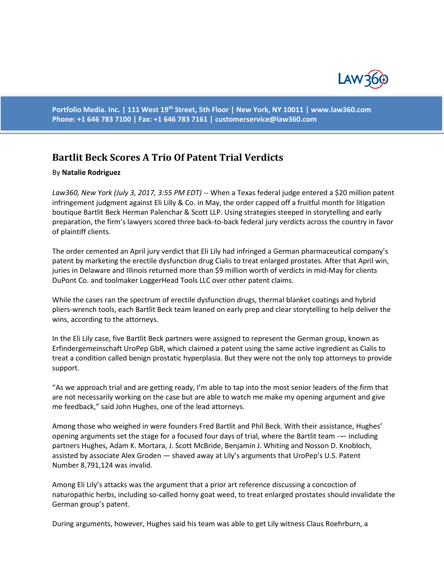

**Portfolio Media. Inc. | 111 West 19th Street, 5th Floor | New York, NY 10011 | www.law360.com Phone: +1 646 783 7100 | Fax: +1 646 783 7161 | [customerservice@law360.com](mailto:customerservice@law360.com)**

## **Bartlit Beck Scores A Trio Of Patent Trial Verdicts**

## By **Natalie Rodriguez**

*Law360, New York (July 3, 2017, 3:55 PM EDT)* -- When a Texas federal judge entered a \$20 million patent infringement judgment against Eli Lilly & Co. in May, the order capped off a fruitful month for litigation boutique Bartlit Beck Herman Palenchar & Scott LLP. Using strategies steeped in storytelling and early preparation, the firm's lawyers scored three back-to-back federal jury verdicts across the country in favor of plaintiff clients.

The order cemented an April jury verdict that Eli Lily had infringed a German pharmaceutical company's patent by marketing the erectile dysfunction drug Cialis to treat enlarged prostates. After that April win, juries in Delaware and Illinois returned more than \$9 million worth of verdicts in mid-May for clients DuPont Co. and toolmaker LoggerHead Tools LLC over other patent claims.

While the cases ran the spectrum of erectile dysfunction drugs, thermal blanket coatings and hybrid pliers-wrench tools, each Bartlit Beck team leaned on early prep and clear storytelling to help deliver the wins, according to the attorneys.

In the Eli Lily case, five Bartlit Beck partners were assigned to represent the German group, known as Erfindergemeinschaft UroPep GbR, which claimed a patent using the same active ingredient as Cialis to treat a condition called benign prostatic hyperplasia. But they were not the only top attorneys to provide support.

"As we approach trial and are getting ready, I'm able to tap into the most senior leaders of the firm that are not necessarily working on the case but are able to watch me make my opening argument and give me feedback," said John Hughes, one of the lead attorneys.

Among those who weighed in were founders Fred Bartlit and Phil Beck. With their assistance, Hughes' opening arguments set the stage for a focused four days of trial, where the Bartlit team -— including partners Hughes, Adam K. Mortara, J. Scott McBride, Benjamin J. Whiting and Nosson D. Knobloch, assisted by associate Alex Groden — shaved away at Lily's arguments that UroPep's U.S. Patent Number 8,791,124 was invalid.

Among Eli Lily's attacks was the argument that a prior art reference discussing a concoction of naturopathic herbs, including so-called horny goat weed, to treat enlarged prostates should invalidate the German group's patent.

During arguments, however, Hughes said his team was able to get Lily witness Claus Roehrburn, a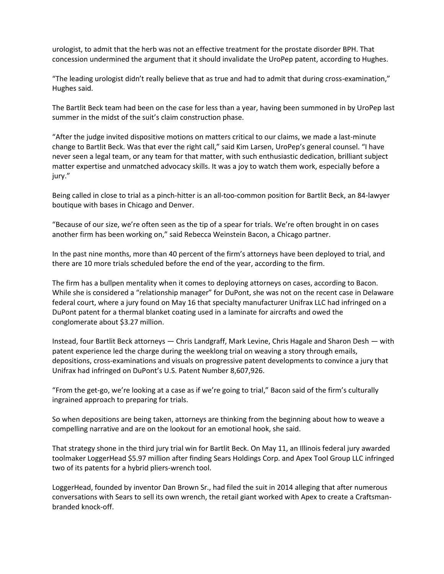urologist, to admit that the herb was not an effective treatment for the prostate disorder BPH. That concession undermined the argument that it should invalidate the UroPep patent, according to Hughes.

"The leading urologist didn't really believe that as true and had to admit that during cross-examination," Hughes said.

The Bartlit Beck team had been on the case for less than a year, having been summoned in by UroPep last summer in the midst of the suit's claim construction phase.

"After the judge invited dispositive motions on matters critical to our claims, we made a last-minute change to Bartlit Beck. Was that ever the right call," said Kim Larsen, UroPep's general counsel. "I have never seen a legal team, or any team for that matter, with such enthusiastic dedication, brilliant subject matter expertise and unmatched advocacy skills. It was a joy to watch them work, especially before a jury."

Being called in close to trial as a pinch-hitter is an all-too-common position for Bartlit Beck, an 84-lawyer boutique with bases in Chicago and Denver.

"Because of our size, we're often seen as the tip of a spear for trials. We're often brought in on cases another firm has been working on," said Rebecca Weinstein Bacon, a Chicago partner.

In the past nine months, more than 40 percent of the firm's attorneys have been deployed to trial, and there are 10 more trials scheduled before the end of the year, according to the firm.

The firm has a bullpen mentality when it comes to deploying attorneys on cases, according to Bacon. While she is considered a "relationship manager" for DuPont, she was not on the recent case in Delaware federal court, where a jury found on May 16 that specialty manufacturer Unifrax LLC had infringed on a DuPont patent for a thermal blanket coating used in a laminate for aircrafts and owed the conglomerate about \$3.27 million.

Instead, four Bartlit Beck attorneys — Chris Landgraff, Mark Levine, Chris Hagale and Sharon Desh — with patent experience led the charge during the weeklong trial on weaving a story through emails, depositions, cross-examinations and visuals on progressive patent developments to convince a jury that Unifrax had infringed on DuPont's U.S. Patent Number 8,607,926.

"From the get-go, we're looking at a case as if we're going to trial," Bacon said of the firm's culturally ingrained approach to preparing for trials.

So when depositions are being taken, attorneys are thinking from the beginning about how to weave a compelling narrative and are on the lookout for an emotional hook, she said.

That strategy shone in the third jury trial win for Bartlit Beck. On May 11, an Illinois federal jury awarded toolmaker LoggerHead \$5.97 million after finding Sears Holdings Corp. and Apex Tool Group LLC infringed two of its patents for a hybrid pliers-wrench tool.

LoggerHead, founded by inventor Dan Brown Sr., had filed the suit in 2014 alleging that after numerous conversations with Sears to sell its own wrench, the retail giant worked with Apex to create a Craftsmanbranded knock-off.